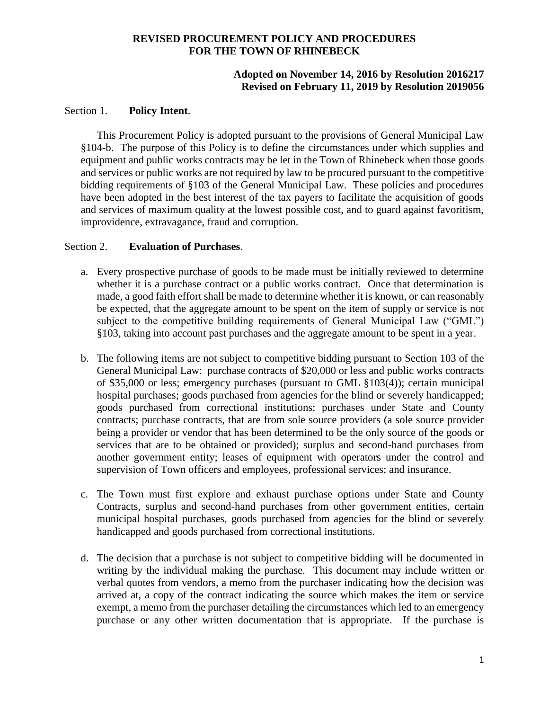# **Adopted on November 14, 2016 by Resolution 2016217 Revised on February 11, 2019 by Resolution 2019056**

#### Section 1. **Policy Intent**.

This Procurement Policy is adopted pursuant to the provisions of General Municipal Law §104-b. The purpose of this Policy is to define the circumstances under which supplies and equipment and public works contracts may be let in the Town of Rhinebeck when those goods and services or public works are not required by law to be procured pursuant to the competitive bidding requirements of §103 of the General Municipal Law. These policies and procedures have been adopted in the best interest of the tax payers to facilitate the acquisition of goods and services of maximum quality at the lowest possible cost, and to guard against favoritism, improvidence, extravagance, fraud and corruption.

### Section 2. **Evaluation of Purchases**.

- a. Every prospective purchase of goods to be made must be initially reviewed to determine whether it is a purchase contract or a public works contract. Once that determination is made, a good faith effort shall be made to determine whether it is known, or can reasonably be expected, that the aggregate amount to be spent on the item of supply or service is not subject to the competitive building requirements of General Municipal Law ("GML") §103, taking into account past purchases and the aggregate amount to be spent in a year.
- b. The following items are not subject to competitive bidding pursuant to Section 103 of the General Municipal Law: purchase contracts of \$20,000 or less and public works contracts of \$35,000 or less; emergency purchases (pursuant to GML §103(4)); certain municipal hospital purchases; goods purchased from agencies for the blind or severely handicapped; goods purchased from correctional institutions; purchases under State and County contracts; purchase contracts, that are from sole source providers (a sole source provider being a provider or vendor that has been determined to be the only source of the goods or services that are to be obtained or provided); surplus and second-hand purchases from another government entity; leases of equipment with operators under the control and supervision of Town officers and employees, professional services; and insurance.
- c. The Town must first explore and exhaust purchase options under State and County Contracts, surplus and second-hand purchases from other government entities, certain municipal hospital purchases, goods purchased from agencies for the blind or severely handicapped and goods purchased from correctional institutions.
- d. The decision that a purchase is not subject to competitive bidding will be documented in writing by the individual making the purchase. This document may include written or verbal quotes from vendors, a memo from the purchaser indicating how the decision was arrived at, a copy of the contract indicating the source which makes the item or service exempt, a memo from the purchaser detailing the circumstances which led to an emergency purchase or any other written documentation that is appropriate. If the purchase is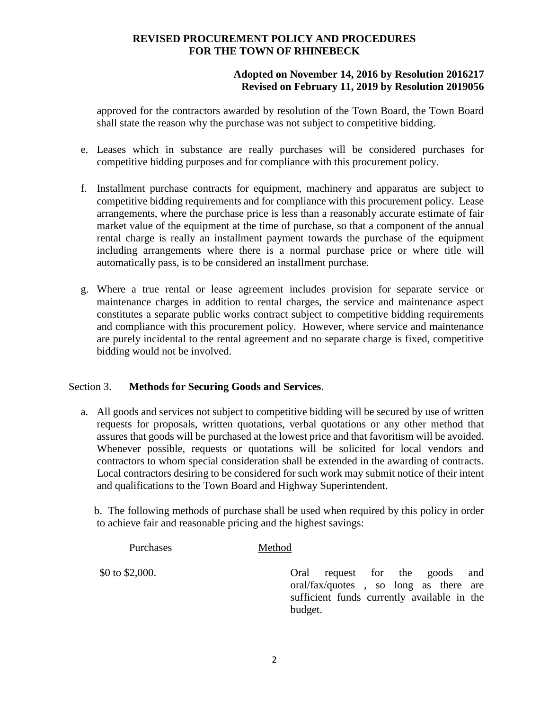# **Adopted on November 14, 2016 by Resolution 2016217 Revised on February 11, 2019 by Resolution 2019056**

approved for the contractors awarded by resolution of the Town Board, the Town Board shall state the reason why the purchase was not subject to competitive bidding.

- e. Leases which in substance are really purchases will be considered purchases for competitive bidding purposes and for compliance with this procurement policy.
- f. Installment purchase contracts for equipment, machinery and apparatus are subject to competitive bidding requirements and for compliance with this procurement policy. Lease arrangements, where the purchase price is less than a reasonably accurate estimate of fair market value of the equipment at the time of purchase, so that a component of the annual rental charge is really an installment payment towards the purchase of the equipment including arrangements where there is a normal purchase price or where title will automatically pass, is to be considered an installment purchase.
- g. Where a true rental or lease agreement includes provision for separate service or maintenance charges in addition to rental charges, the service and maintenance aspect constitutes a separate public works contract subject to competitive bidding requirements and compliance with this procurement policy. However, where service and maintenance are purely incidental to the rental agreement and no separate charge is fixed, competitive bidding would not be involved.

### Section 3. **Methods for Securing Goods and Services**.

a. All goods and services not subject to competitive bidding will be secured by use of written requests for proposals, written quotations, verbal quotations or any other method that assures that goods will be purchased at the lowest price and that favoritism will be avoided. Whenever possible, requests or quotations will be solicited for local vendors and contractors to whom special consideration shall be extended in the awarding of contracts. Local contractors desiring to be considered for such work may submit notice of their intent and qualifications to the Town Board and Highway Superintendent.

 b. The following methods of purchase shall be used when required by this policy in order to achieve fair and reasonable pricing and the highest savings:

| Method                                                                                                                               |
|--------------------------------------------------------------------------------------------------------------------------------------|
| request for the goods and<br>Oral<br>oral/fax/quotes, so long as there are<br>sufficient funds currently available in the<br>budget. |
|                                                                                                                                      |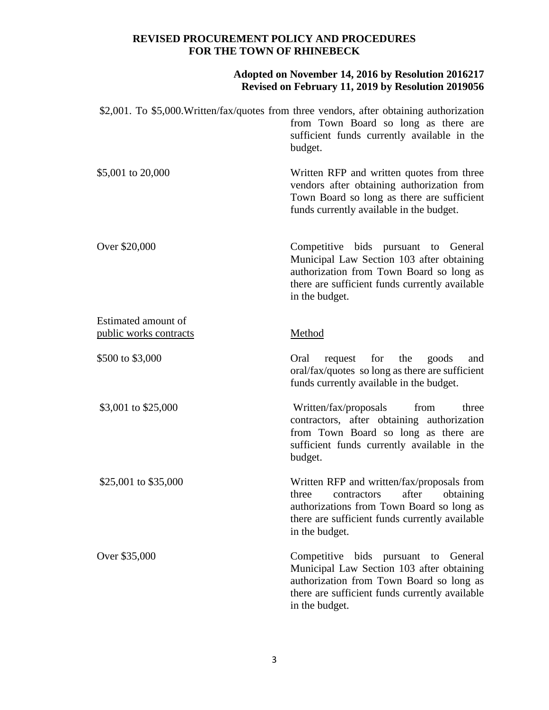#### **Adopted on November 14, 2016 by Resolution 2016217 Revised on February 11, 2019 by Resolution 2019056**

|                                               | \$2,001. To \$5,000. Written/fax/quotes from three vendors, after obtaining authorization<br>from Town Board so long as there are<br>sufficient funds currently available in the<br>budget.               |
|-----------------------------------------------|-----------------------------------------------------------------------------------------------------------------------------------------------------------------------------------------------------------|
| \$5,001 to 20,000                             | Written RFP and written quotes from three<br>vendors after obtaining authorization from<br>Town Board so long as there are sufficient<br>funds currently available in the budget.                         |
| Over \$20,000                                 | Competitive bids pursuant to<br>General<br>Municipal Law Section 103 after obtaining<br>authorization from Town Board so long as<br>there are sufficient funds currently available<br>in the budget.      |
| Estimated amount of<br>public works contracts | Method                                                                                                                                                                                                    |
| \$500 to \$3,000                              | request<br>for<br>the<br>Oral<br>goods<br>and<br>oral/fax/quotes so long as there are sufficient<br>funds currently available in the budget.                                                              |
| \$3,001 to \$25,000                           | Written/fax/proposals<br>from<br>three<br>contractors, after obtaining authorization<br>from Town Board so long as there are<br>sufficient funds currently available in the<br>budget.                    |
| \$25,001 to \$35,000                          | Written RFP and written/fax/proposals from<br>after<br>three<br>contractors<br>obtaining<br>authorizations from Town Board so long as<br>there are sufficient funds currently available<br>in the budget. |
| Over \$35,000                                 | Competitive bids pursuant to<br>General<br>Municipal Law Section 103 after obtaining<br>authorization from Town Board so long as<br>there are sufficient funds currently available<br>in the budget.      |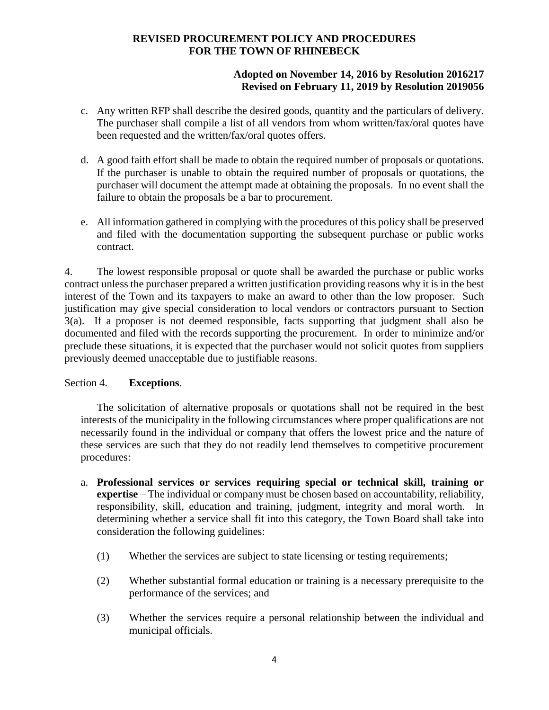# **Adopted on November 14, 2016 by Resolution 2016217 Revised on February 11, 2019 by Resolution 2019056**

- c. Any written RFP shall describe the desired goods, quantity and the particulars of delivery. The purchaser shall compile a list of all vendors from whom written/fax/oral quotes have been requested and the written/fax/oral quotes offers.
- d. A good faith effort shall be made to obtain the required number of proposals or quotations. If the purchaser is unable to obtain the required number of proposals or quotations, the purchaser will document the attempt made at obtaining the proposals. In no event shall the failure to obtain the proposals be a bar to procurement.
- e. All information gathered in complying with the procedures of this policy shall be preserved and filed with the documentation supporting the subsequent purchase or public works contract.

4. The lowest responsible proposal or quote shall be awarded the purchase or public works contract unless the purchaser prepared a written justification providing reasons why it is in the best interest of the Town and its taxpayers to make an award to other than the low proposer. Such justification may give special consideration to local vendors or contractors pursuant to Section 3(a). If a proposer is not deemed responsible, facts supporting that judgment shall also be documented and filed with the records supporting the procurement. In order to minimize and/or preclude these situations, it is expected that the purchaser would not solicit quotes from suppliers previously deemed unacceptable due to justifiable reasons.

### Section 4. **Exceptions**.

The solicitation of alternative proposals or quotations shall not be required in the best interests of the municipality in the following circumstances where proper qualifications are not necessarily found in the individual or company that offers the lowest price and the nature of these services are such that they do not readily lend themselves to competitive procurement procedures:

- a. **Professional services or services requiring special or technical skill, training or expertise** – The individual or company must be chosen based on accountability, reliability, responsibility, skill, education and training, judgment, integrity and moral worth. In determining whether a service shall fit into this category, the Town Board shall take into consideration the following guidelines:
	- (1) Whether the services are subject to state licensing or testing requirements;
	- (2) Whether substantial formal education or training is a necessary prerequisite to the performance of the services; and
	- (3) Whether the services require a personal relationship between the individual and municipal officials.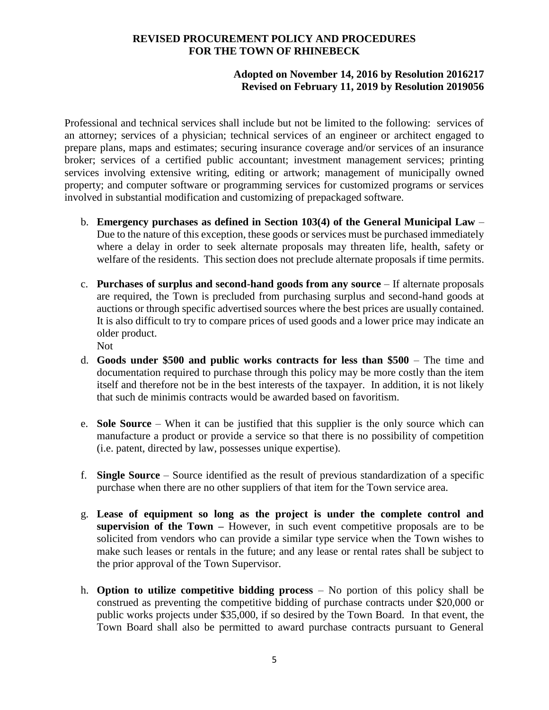# **Adopted on November 14, 2016 by Resolution 2016217 Revised on February 11, 2019 by Resolution 2019056**

Professional and technical services shall include but not be limited to the following: services of an attorney; services of a physician; technical services of an engineer or architect engaged to prepare plans, maps and estimates; securing insurance coverage and/or services of an insurance broker; services of a certified public accountant; investment management services; printing services involving extensive writing, editing or artwork; management of municipally owned property; and computer software or programming services for customized programs or services involved in substantial modification and customizing of prepackaged software.

- b. **Emergency purchases as defined in Section 103(4) of the General Municipal Law** Due to the nature of this exception, these goods or services must be purchased immediately where a delay in order to seek alternate proposals may threaten life, health, safety or welfare of the residents. This section does not preclude alternate proposals if time permits.
- c. **Purchases of surplus and second-hand goods from any source** If alternate proposals are required, the Town is precluded from purchasing surplus and second-hand goods at auctions or through specific advertised sources where the best prices are usually contained. It is also difficult to try to compare prices of used goods and a lower price may indicate an older product.

Not

- d. **Goods under \$500 and public works contracts for less than \$500** The time and documentation required to purchase through this policy may be more costly than the item itself and therefore not be in the best interests of the taxpayer. In addition, it is not likely that such de minimis contracts would be awarded based on favoritism.
- e. **Sole Source** When it can be justified that this supplier is the only source which can manufacture a product or provide a service so that there is no possibility of competition (i.e. patent, directed by law, possesses unique expertise).
- f. **Single Source** Source identified as the result of previous standardization of a specific purchase when there are no other suppliers of that item for the Town service area.
- g. **Lease of equipment so long as the project is under the complete control and supervision of the Town –** However, in such event competitive proposals are to be solicited from vendors who can provide a similar type service when the Town wishes to make such leases or rentals in the future; and any lease or rental rates shall be subject to the prior approval of the Town Supervisor.
- h. **Option to utilize competitive bidding process**  No portion of this policy shall be construed as preventing the competitive bidding of purchase contracts under \$20,000 or public works projects under \$35,000, if so desired by the Town Board. In that event, the Town Board shall also be permitted to award purchase contracts pursuant to General